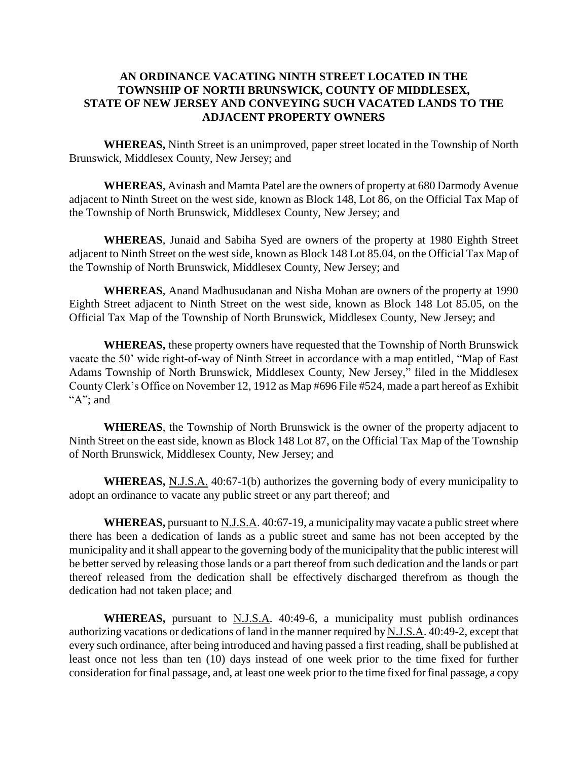#### **AN ORDINANCE VACATING NINTH STREET LOCATED IN THE TOWNSHIP OF NORTH BRUNSWICK, COUNTY OF MIDDLESEX, STATE OF NEW JERSEY AND CONVEYING SUCH VACATED LANDS TO THE ADJACENT PROPERTY OWNERS**

**WHEREAS,** Ninth Street is an unimproved, paper street located in the Township of North Brunswick, Middlesex County, New Jersey; and

**WHEREAS**, Avinash and Mamta Patel are the owners of property at 680 Darmody Avenue adjacent to Ninth Street on the west side, known as Block 148, Lot 86, on the Official Tax Map of the Township of North Brunswick, Middlesex County, New Jersey; and

**WHEREAS**, Junaid and Sabiha Syed are owners of the property at 1980 Eighth Street adjacent to Ninth Street on the west side, known as Block 148 Lot 85.04, on the Official Tax Map of the Township of North Brunswick, Middlesex County, New Jersey; and

**WHEREAS**, Anand Madhusudanan and Nisha Mohan are owners of the property at 1990 Eighth Street adjacent to Ninth Street on the west side, known as Block 148 Lot 85.05, on the Official Tax Map of the Township of North Brunswick, Middlesex County, New Jersey; and

**WHEREAS,** these property owners have requested that the Township of North Brunswick vacate the 50' wide right-of-way of Ninth Street in accordance with a map entitled, "Map of East Adams Township of North Brunswick, Middlesex County, New Jersey," filed in the Middlesex County Clerk's Office on November 12, 1912 as Map #696 File #524, made a part hereof as Exhibit "A"; and

**WHEREAS**, the Township of North Brunswick is the owner of the property adjacent to Ninth Street on the east side, known as Block 148 Lot 87, on the Official Tax Map of the Township of North Brunswick, Middlesex County, New Jersey; and

**WHEREAS,** N.J.S.A. 40:67-1(b) authorizes the governing body of every municipality to adopt an ordinance to vacate any public street or any part thereof; and

**WHEREAS,** pursuant to N.J.S.A. 40:67-19, a municipality may vacate a public street where there has been a dedication of lands as a public street and same has not been accepted by the municipality and it shall appear to the governing body of the municipality that the public interest will be better served by releasing those lands or a part thereof from such dedication and the lands or part thereof released from the dedication shall be effectively discharged therefrom as though the dedication had not taken place; and

**WHEREAS,** pursuant to N.J.S.A. 40:49-6, a municipality must publish ordinances authorizing vacations or dedications of land in the manner required by N.J.S.A. 40:49-2, except that every such ordinance, after being introduced and having passed a first reading, shall be published at least once not less than ten (10) days instead of one week prior to the time fixed for further consideration for final passage, and, at least one week prior to the time fixed for final passage, a copy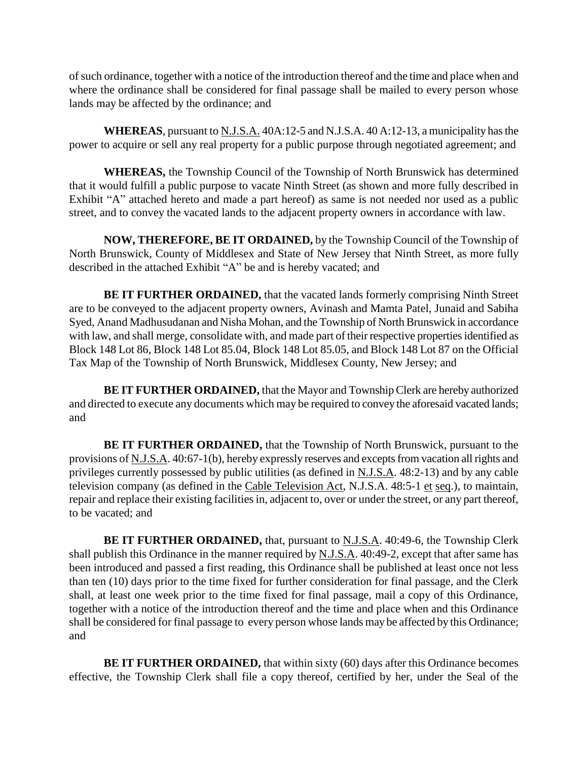of such ordinance, together with a notice of the introduction thereof and the time and place when and where the ordinance shall be considered for final passage shall be mailed to every person whose lands may be affected by the ordinance; and

**WHEREAS**, pursuant to N.J.S.A. 40A:12-5 and N.J.S.A. 40 A:12-13, a municipality has the power to acquire or sell any real property for a public purpose through negotiated agreement; and

**WHEREAS,** the Township Council of the Township of North Brunswick has determined that it would fulfill a public purpose to vacate Ninth Street (as shown and more fully described in Exhibit "A" attached hereto and made a part hereof) as same is not needed nor used as a public street, and to convey the vacated lands to the adjacent property owners in accordance with law.

**NOW, THEREFORE, BE IT ORDAINED,** by the Township Council of the Township of North Brunswick, County of Middlesex and State of New Jersey that Ninth Street, as more fully described in the attached Exhibit "A" be and is hereby vacated; and

**BE IT FURTHER ORDAINED,** that the vacated lands formerly comprising Ninth Street are to be conveyed to the adjacent property owners, Avinash and Mamta Patel, Junaid and Sabiha Syed, Anand Madhusudanan and Nisha Mohan, and the Township of North Brunswick in accordance with law, and shall merge, consolidate with, and made part of their respective properties identified as Block 148 Lot 86, Block 148 Lot 85.04, Block 148 Lot 85.05, and Block 148 Lot 87 on the Official Tax Map of the Township of North Brunswick, Middlesex County, New Jersey; and

**BE IT FURTHER ORDAINED,** that the Mayor and Township Clerk are hereby authorized and directed to execute any documents which may be required to convey the aforesaid vacated lands; and

**BE IT FURTHER ORDAINED,** that the Township of North Brunswick, pursuant to the provisions of N.J.S.A. 40:67-1(b), hereby expressly reserves and excepts from vacation all rights and privileges currently possessed by public utilities (as defined in N.J.S.A. 48:2-13) and by any cable television company (as defined in the Cable Television Act, N.J.S.A. 48:5-1 et seq.), to maintain, repair and replace their existing facilities in, adjacent to, over or under the street, or any part thereof, to be vacated; and

**BE IT FURTHER ORDAINED,** that, pursuant to **N.J.S.A.** 40:49-6, the Township Clerk shall publish this Ordinance in the manner required by N.J.S.A. 40:49-2, except that after same has been introduced and passed a first reading, this Ordinance shall be published at least once not less than ten (10) days prior to the time fixed for further consideration for final passage, and the Clerk shall, at least one week prior to the time fixed for final passage, mail a copy of this Ordinance, together with a notice of the introduction thereof and the time and place when and this Ordinance shall be considered for final passage to every person whose lands may be affected by this Ordinance; and

**BE IT FURTHER ORDAINED,** that within sixty (60) days after this Ordinance becomes effective, the Township Clerk shall file a copy thereof, certified by her, under the Seal of the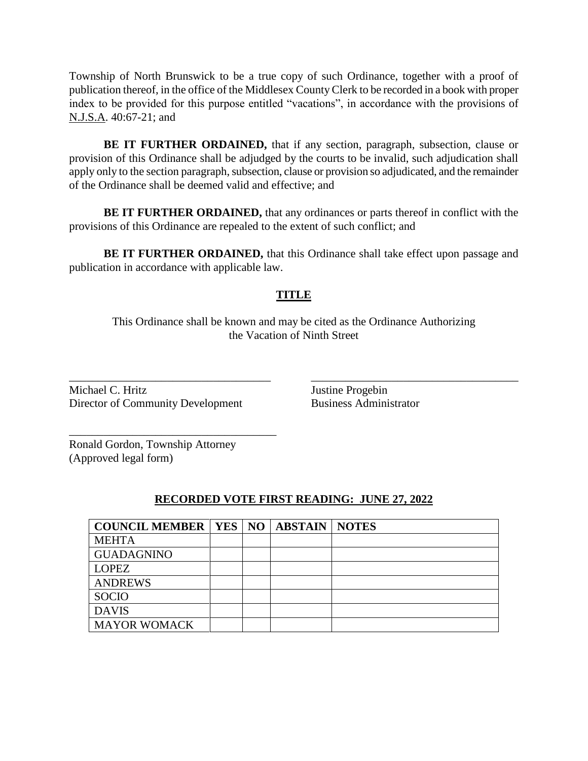Township of North Brunswick to be a true copy of such Ordinance, together with a proof of publication thereof, in the office of the Middlesex County Clerk to be recorded in a book with proper index to be provided for this purpose entitled "vacations", in accordance with the provisions of N.J.S.A. 40:67-21; and

**BE IT FURTHER ORDAINED,** that if any section, paragraph, subsection, clause or provision of this Ordinance shall be adjudged by the courts to be invalid, such adjudication shall apply only to the section paragraph, subsection, clause or provision so adjudicated, and the remainder of the Ordinance shall be deemed valid and effective; and

**BE IT FURTHER ORDAINED,** that any ordinances or parts thereof in conflict with the provisions of this Ordinance are repealed to the extent of such conflict; and

**BE IT FURTHER ORDAINED, that this Ordinance shall take effect upon passage and** publication in accordance with applicable law.

#### **TITLE**

This Ordinance shall be known and may be cited as the Ordinance Authorizing the Vacation of Ninth Street

\_\_\_\_\_\_\_\_\_\_\_\_\_\_\_\_\_\_\_\_\_\_\_\_\_\_\_\_\_\_\_\_\_\_\_ \_\_\_\_\_\_\_\_\_\_\_\_\_\_\_\_\_\_\_\_\_\_\_\_\_\_\_\_\_\_\_\_\_\_\_\_

Michael C. Hritz Justine Progebin Director of Community Development Business Administrator

\_\_\_\_\_\_\_\_\_\_\_\_\_\_\_\_\_\_\_\_\_\_\_\_\_\_\_\_\_\_\_\_\_\_\_\_

Ronald Gordon, Township Attorney (Approved legal form)

#### **RECORDED VOTE FIRST READING: JUNE 27, 2022**

| <b>COUNCIL MEMBER   YES   NO   ABSTAIN   NOTES</b> |  |  |
|----------------------------------------------------|--|--|
| <b>MEHTA</b>                                       |  |  |
| <b>GUADAGNINO</b>                                  |  |  |
| <b>LOPEZ</b>                                       |  |  |
| <b>ANDREWS</b>                                     |  |  |
| <b>SOCIO</b>                                       |  |  |
| <b>DAVIS</b>                                       |  |  |
| <b>MAYOR WOMACK</b>                                |  |  |